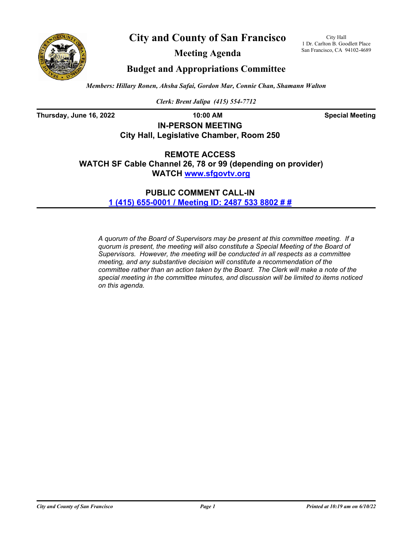



**Meeting Agenda**

City Hall 1 Dr. Carlton B. Goodlett Place San Francisco, CA 94102-4689

# **Budget and Appropriations Committee**

*Members: Hillary Ronen, Ahsha Safai, Gordon Mar, Connie Chan, Shamann Walton*

*Clerk: Brent Jalipa (415) 554-7712*

**Thursday, June 16, 2022 10:00 AM Special Meeting**

**IN-PERSON MEETING City Hall, Legislative Chamber, Room 250**

**REMOTE ACCESS WATCH SF Cable Channel 26, 78 or 99 (depending on provider) WATCH<www.sfgovtv.org>**

> **PUBLIC COMMENT CALL-IN [1 \(415\) 655-0001 / Meeting ID: 2487 533 8802 # #](tel:+14156550001,,24875338802#,,#)**

*A quorum of the Board of Supervisors may be present at this committee meeting. If a quorum is present, the meeting will also constitute a Special Meeting of the Board of Supervisors. However, the meeting will be conducted in all respects as a committee meeting, and any substantive decision will constitute a recommendation of the committee rather than an action taken by the Board. The Clerk will make a note of the special meeting in the committee minutes, and discussion will be limited to items noticed on this agenda.*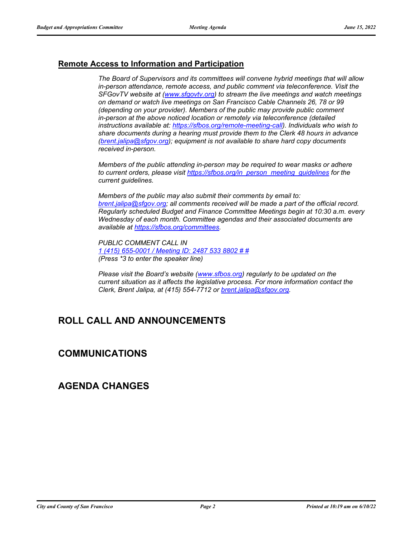# **Remote Access to Information and Participation**

*The Board of Supervisors and its committees will convene hybrid meetings that will allow in-person attendance, remote access, and public comment via teleconference. Visit the SFGovTV website at [\(www.sfgovtv.org\)](www.sfgovtv.org) to stream the live meetings and watch meetings on demand or watch live meetings on San Francisco Cable Channels 26, 78 or 99 (depending on your provider). Members of the public may provide public comment in-person at the above noticed location or remotely via teleconference (detailed instructions available at: [https://sfbos.org/remote-meeting-call\)](https://sfbos.org/remote-meeting-call). Individuals who wish to share documents during a hearing must provide them to the Clerk 48 hours in advance [\(brent.jalipa@sfgov.org\)](mailto:brent.jalipa@sfgov.org); equipment is not available to share hard copy documents received in-person.*

*Members of the public attending in-person may be required to wear masks or adhere to current orders, please visit [https://sfbos.org/in\\_person\\_meeting\\_guidelines](https://sfbos.org/in_person_meeting_guidelines) for the current guidelines.*

*Members of the public may also submit their comments by email to: [brent.jalipa@sfgov.org;](mailto:brent.jalipa@sfgov.org) all comments received will be made a part of the official record. Regularly scheduled Budget and Finance Committee Meetings begin at 10:30 a.m. every Wednesday of each month. Committee agendas and their associated documents are available at [https://sfbos.org/committees.](https://sfbos.org/committees)*

*PUBLIC COMMENT CALL IN [1 \(415\) 655-0001 / Meeting ID:](tel:+14156550001,,24875338802#,,#) 2487 533 8802 # # (Press \*3 to enter the speaker line)*

*Please visit the Board's website [\(www.sfbos.org\)](https://sfbos.org) regularly to be updated on the current situation as it affects the legislative process. For more information contact the Clerk, Brent Jalipa, at (415) 554-7712 or [brent.jalipa@sfgov.org.](mailto:brent.jalipa@sfgov.org)*

# **ROLL CALL AND ANNOUNCEMENTS**

# **COMMUNICATIONS**

# **AGENDA CHANGES**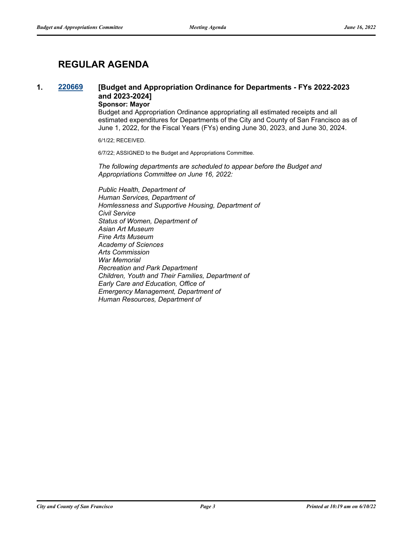# **REGULAR AGENDA**

# **1. [220669](http://sfgov.legistar.com/gateway.aspx?m=l&id=38861) [Budget and Appropriation Ordinance for Departments - FYs 2022-2023 and 2023-2024]**

# **Sponsor: Mayor**

Budget and Appropriation Ordinance appropriating all estimated receipts and all estimated expenditures for Departments of the City and County of San Francisco as of June 1, 2022, for the Fiscal Years (FYs) ending June 30, 2023, and June 30, 2024.

6/1/22; RECEIVED.

6/7/22; ASSIGNED to the Budget and Appropriations Committee.

*The following departments are scheduled to appear before the Budget and Appropriations Committee on June 16, 2022:*

*Public Health, Department of Human Services, Department of Homlessness and Supportive Housing, Department of Civil Service Status of Women, Department of Asian Art Museum Fine Arts Museum Academy of Sciences Arts Commission War Memorial Recreation and Park Department Children, Youth and Their Families, Department of Early Care and Education, Office of Emergency Management, Department of Human Resources, Department of*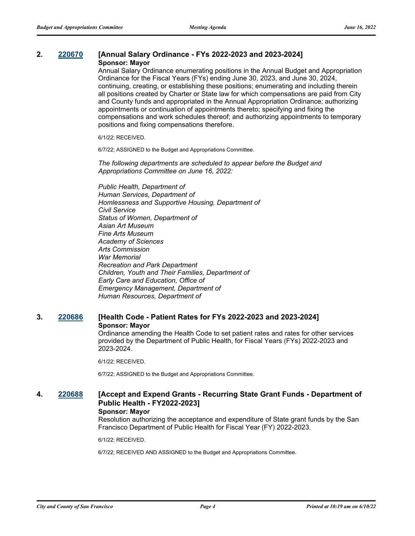#### **2. [220670](http://sfgov.legistar.com/gateway.aspx?m=l&id=38862) [Annual Salary Ordinance - FYs 2022-2023 and 2023-2024] Sponsor: Mayor**

Annual Salary Ordinance enumerating positions in the Annual Budget and Appropriation Ordinance for the Fiscal Years (FYs) ending June 30, 2023, and June 30, 2024, continuing, creating, or establishing these positions; enumerating and including therein all positions created by Charter or State law for which compensations are paid from City and County funds and appropriated in the Annual Appropriation Ordinance; authorizing appointments or continuation of appointments thereto; specifying and fixing the compensations and work schedules thereof; and authorizing appointments to temporary positions and fixing compensations therefore.

6/1/22; RECEIVED.

6/7/22; ASSIGNED to the Budget and Appropriations Committee.

*The following departments are scheduled to appear before the Budget and Appropriations Committee on June 16, 2022:*

*Public Health, Department of Human Services, Department of Homlessness and Supportive Housing, Department of Civil Service Status of Women, Department of Asian Art Museum Fine Arts Museum Academy of Sciences Arts Commission War Memorial Recreation and Park Department Children, Youth and Their Families, Department of Early Care and Education, Office of Emergency Management, Department of Human Resources, Department of*

## **3. [220686](http://sfgov.legistar.com/gateway.aspx?m=l&id=38878) [Health Code - Patient Rates for FYs 2022-2023 and 2023-2024] Sponsor: Mayor**

Ordinance amending the Health Code to set patient rates and rates for other services provided by the Department of Public Health, for Fiscal Years (FYs) 2022-2023 and 2023-2024.

6/1/22; RECEIVED.

6/7/22; ASSIGNED to the Budget and Appropriations Committee.

## **4. [220688](http://sfgov.legistar.com/gateway.aspx?m=l&id=38880) [Accept and Expend Grants - Recurring State Grant Funds - Department of Public Health - FY2022-2023] Sponsor: Mayor**

Resolution authorizing the acceptance and expenditure of State grant funds by the San Francisco Department of Public Health for Fiscal Year (FY) 2022-2023.

6/1/22; RECEIVED.

6/7/22; RECEIVED AND ASSIGNED to the Budget and Appropriations Committee.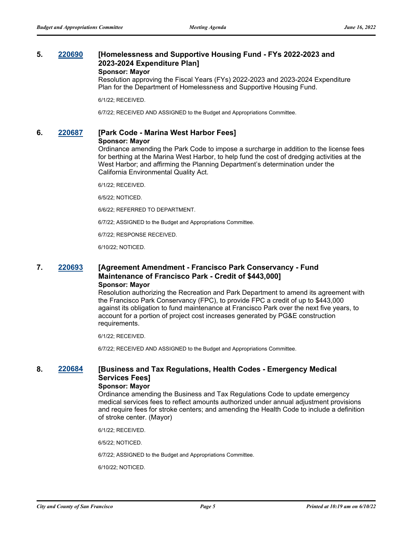## **5. [220690](http://sfgov.legistar.com/gateway.aspx?m=l&id=38882) [Homelessness and Supportive Housing Fund - FYs 2022-2023 and 2023-2024 Expenditure Plan] Sponsor: Mayor**

Resolution approving the Fiscal Years (FYs) 2022-2023 and 2023-2024 Expenditure Plan for the Department of Homelessness and Supportive Housing Fund.

6/1/22; RECEIVED.

6/7/22; RECEIVED AND ASSIGNED to the Budget and Appropriations Committee.

# **6. [220687](http://sfgov.legistar.com/gateway.aspx?m=l&id=38879) [Park Code - Marina West Harbor Fees]**

#### **Sponsor: Mayor**

Ordinance amending the Park Code to impose a surcharge in addition to the license fees for berthing at the Marina West Harbor, to help fund the cost of dredging activities at the West Harbor; and affirming the Planning Department's determination under the California Environmental Quality Act.

6/1/22; RECEIVED.

6/5/22; NOTICED.

6/6/22; REFERRED TO DEPARTMENT.

6/7/22; ASSIGNED to the Budget and Appropriations Committee.

6/7/22; RESPONSE RECEIVED.

6/10/22; NOTICED.

## **7. [220693](http://sfgov.legistar.com/gateway.aspx?m=l&id=38885) [Agreement Amendment - Francisco Park Conservancy - Fund Maintenance of Francisco Park - Credit of \$443,000] Sponsor: Mayor**

Resolution authorizing the Recreation and Park Department to amend its agreement with the Francisco Park Conservancy (FPC), to provide FPC a credit of up to \$443,000 against its obligation to fund maintenance at Francisco Park over the next five years, to account for a portion of project cost increases generated by PG&E construction requirements.

6/1/22; RECEIVED.

6/7/22; RECEIVED AND ASSIGNED to the Budget and Appropriations Committee.

# **8. [220684](http://sfgov.legistar.com/gateway.aspx?m=l&id=38876) [Business and Tax Regulations, Health Codes - Emergency Medical Services Fees]**

## **Sponsor: Mayor**

Ordinance amending the Business and Tax Regulations Code to update emergency medical services fees to reflect amounts authorized under annual adjustment provisions and require fees for stroke centers; and amending the Health Code to include a definition of stroke center. (Mayor)

6/1/22; RECEIVED.

6/5/22; NOTICED.

6/7/22; ASSIGNED to the Budget and Appropriations Committee.

6/10/22; NOTICED.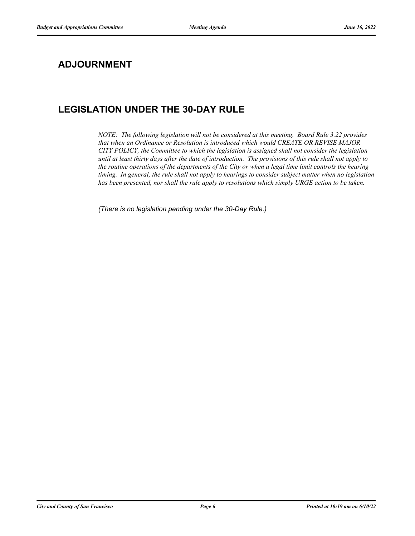# **ADJOURNMENT**

# **LEGISLATION UNDER THE 30-DAY RULE**

*NOTE: The following legislation will not be considered at this meeting. Board Rule 3.22 provides that when an Ordinance or Resolution is introduced which would CREATE OR REVISE MAJOR CITY POLICY, the Committee to which the legislation is assigned shall not consider the legislation until at least thirty days after the date of introduction. The provisions of this rule shall not apply to the routine operations of the departments of the City or when a legal time limit controls the hearing timing. In general, the rule shall not apply to hearings to consider subject matter when no legislation has been presented, nor shall the rule apply to resolutions which simply URGE action to be taken.*

*(There is no legislation pending under the 30-Day Rule.)*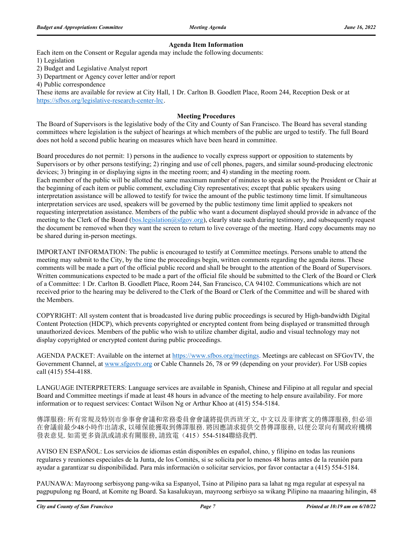## **Agenda Item Information**

Each item on the Consent or Regular agenda may include the following documents:

1) Legislation

2) Budget and Legislative Analyst report

3) Department or Agency cover letter and/or report

4) Public correspondence

These items are available for review at City Hall, 1 Dr. Carlton B. Goodlett Place, Room 244, Reception Desk or at https://sfbos.org/legislative-research-center-lrc.

#### **Meeting Procedures**

The Board of Supervisors is the legislative body of the City and County of San Francisco. The Board has several standing committees where legislation is the subject of hearings at which members of the public are urged to testify. The full Board does not hold a second public hearing on measures which have been heard in committee.

Board procedures do not permit: 1) persons in the audience to vocally express support or opposition to statements by Supervisors or by other persons testifying; 2) ringing and use of cell phones, pagers, and similar sound-producing electronic devices; 3) bringing in or displaying signs in the meeting room; and 4) standing in the meeting room. Each member of the public will be allotted the same maximum number of minutes to speak as set by the President or Chair at the beginning of each item or public comment, excluding City representatives; except that public speakers using interpretation assistance will be allowed to testify for twice the amount of the public testimony time limit. If simultaneous interpretation services are used, speakers will be governed by the public testimony time limit applied to speakers not requesting interpretation assistance. Members of the public who want a document displayed should provide in advance of the meeting to the Clerk of the Board (bos.legislation@sfgov.org), clearly state such during testimony, and subsequently request the document be removed when they want the screen to return to live coverage of the meeting. Hard copy documents may no be shared during in-person meetings.

IMPORTANT INFORMATION: The public is encouraged to testify at Committee meetings. Persons unable to attend the meeting may submit to the City, by the time the proceedings begin, written comments regarding the agenda items. These comments will be made a part of the official public record and shall be brought to the attention of the Board of Supervisors. Written communications expected to be made a part of the official file should be submitted to the Clerk of the Board or Clerk of a Committee: 1 Dr. Carlton B. Goodlett Place, Room 244, San Francisco, CA 94102. Communications which are not received prior to the hearing may be delivered to the Clerk of the Board or Clerk of the Committee and will be shared with the Members.

COPYRIGHT: All system content that is broadcasted live during public proceedings is secured by High-bandwidth Digital Content Protection (HDCP), which prevents copyrighted or encrypted content from being displayed or transmitted through unauthorized devices. Members of the public who wish to utilize chamber digital, audio and visual technology may not display copyrighted or encrypted content during public proceedings.

AGENDA PACKET: Available on the internet at https://www.sfbos.org/meetings. Meetings are cablecast on SFGovTV, the Government Channel, at www.sfgovtv.org or Cable Channels 26, 78 or 99 (depending on your provider). For USB copies call (415) 554-4188.

LANGUAGE INTERPRETERS: Language services are available in Spanish, Chinese and Filipino at all regular and special Board and Committee meetings if made at least 48 hours in advance of the meeting to help ensure availability. For more information or to request services: Contact Wilson Ng or Arthur Khoo at (415) 554-5184.

傳譯服務: 所有常規及特別市參事會會議和常務委員會會議將提供西班牙文, 中文以及菲律賓文的傳譯服務, 但必須 在會議前最少48小時作出請求, 以確保能獲取到傳譯服務. 將因應請求提供交替傳譯服務, 以便公眾向有關政府機構 發表意見. 如需更多資訊或請求有關服務, 請致電(415) 554-5184聯絡我們.

AVISO EN ESPAÑOL: Los servicios de idiomas están disponibles en español, chino, y filipino en todas las reunions regulares y reuniones especiales de la Junta, de los Comités, si se solicita por lo menos 48 horas antes de la reunión para ayudar a garantizar su disponibilidad. Para más información o solicitar servicios, por favor contactar a (415) 554-5184.

PAUNAWA: Mayroong serbisyong pang-wika sa Espanyol, Tsino at Pilipino para sa lahat ng mga regular at espesyal na pagpupulong ng Board, at Komite ng Board. Sa kasalukuyan, mayroong serbisyo sa wikang Pilipino na maaaring hilingin, 48